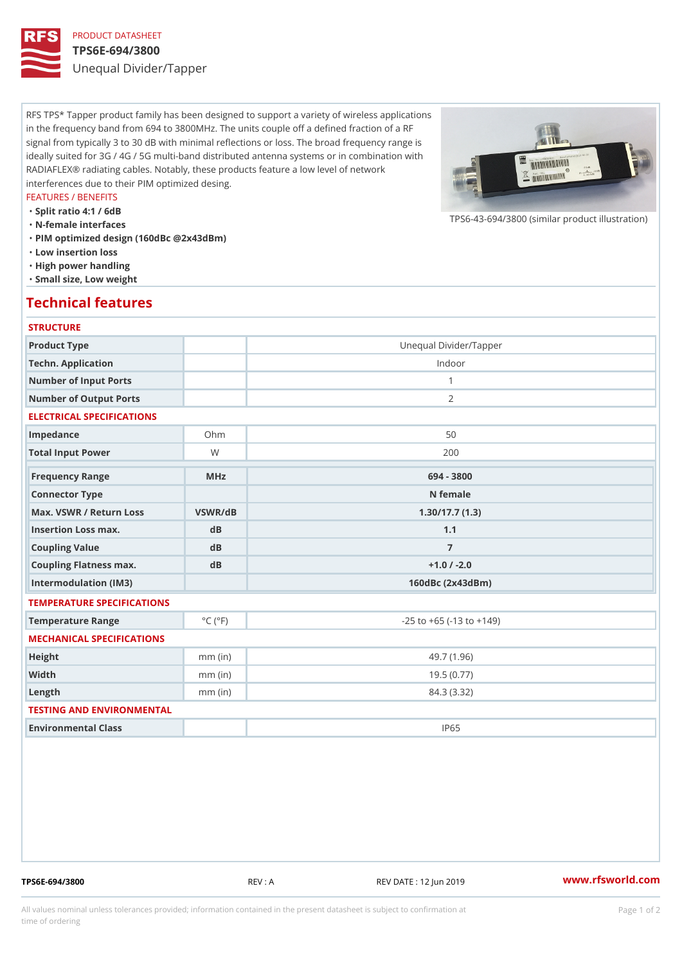## PRODUCT DATASHEET TPS6E-694/3800 Unequal Divider/Tapper

RFS TPS\* Tapper product family has been designed to support a variety of wireless applications in the frequency band from 694 to 3800MHz. The units couple off a defined fraction of a RF signal from typically 3 to 30 dB with minimal reflections or loss. The broad frequency range is ideally suited for 3G / 4G / 5G multi-band distributed antenna systems or in combination with RADIAFLEX® radiating cables. Notably, these products feature a low level of network interferences due to their PIM optimized desing.

### FEATURES / BENEFITS

"Split ratio 4:1 / 6dB

"N-female interfaces

"PIM optimized design (160dBc @2x43dBm)

- "Low insertion loss
- "High power handling
- "Small size, Low weight

### Technical features

### **STRUCTURE**

| Product Type                                     |                             | Unequal Divider/Tapper             |
|--------------------------------------------------|-----------------------------|------------------------------------|
| Techn. Application                               |                             | Indoor                             |
| Number of Input Ports                            |                             | $\mathbf{1}$                       |
| Number of Output Ports                           |                             | 2                                  |
| ELECTRICAL SPECIFICATIONS                        |                             |                                    |
| Impedance                                        | $Oh$ m                      | 50                                 |
| Total Input Power                                | W                           | 200                                |
| Frequency Range                                  | $M$ H z                     | 694 - 3800                         |
| Connector Type                                   |                             | N female                           |
| Max. VSWR / Return LossVSWR/dB<br>1.30/17.7(1.3) |                             |                                    |
| Insertion Loss max.                              | $d$ B                       | 1.1                                |
| Coupling Value                                   | $d$ B                       | $\overline{7}$                     |
| Coupling Flatness max.                           | dB                          | $+1.0$ / $-2.0$                    |
| Intermodulation (IM3)                            |                             | 160dBc (2x43dBm)                   |
| TEMPERATURE SPECIFICATIONS                       |                             |                                    |
| Temperature Range                                | $^{\circ}$ C ( $^{\circ}$ F | $-25$ to $+65$ ( $-13$ to $+149$ ) |
| MECHANICAL SPECIFICATIONS                        |                             |                                    |
| Height                                           | $mm$ (in)                   | 49.7 (1.96)                        |
| Width                                            | $mm$ (in)                   | 19.5(0.77)                         |
| $L$ ength                                        | $mm$ (in)                   | 84.3 (3.32)                        |
| TESTING AND ENVIRONMENTAL                        |                             |                                    |
| Environmental Class                              |                             | <b>IP65</b>                        |

TPS6E-694/3800 REV : A REV DATE : 12 Jun 2019 [www.](https://www.rfsworld.com)rfsworld.com

 $TPS6-43-694/3800$  (similar product

All values nominal unless tolerances provided; information contained in the present datasheet is subject to Pcapgeign manation time of ordering